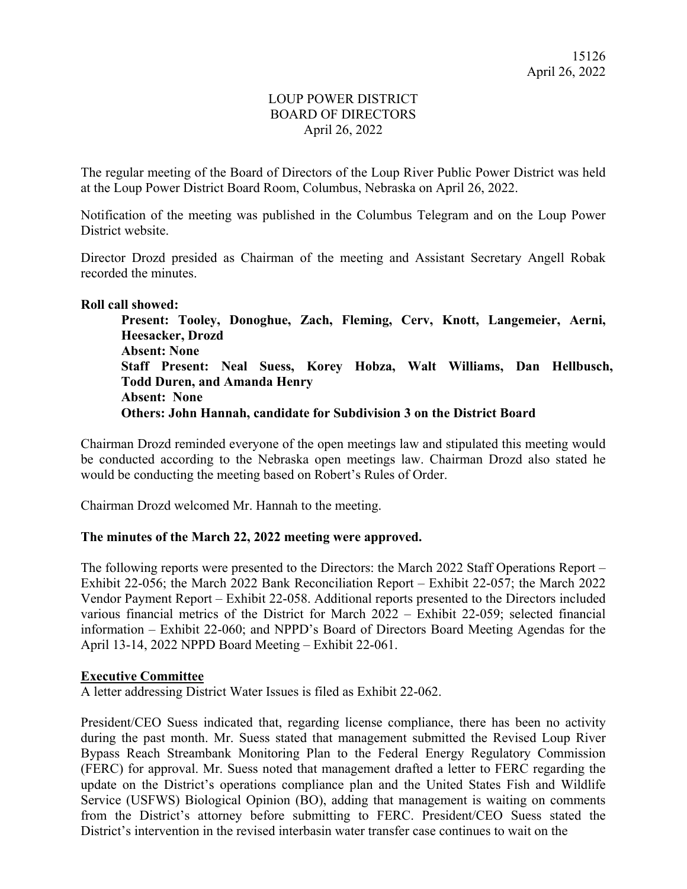# LOUP POWER DISTRICT BOARD OF DIRECTORS April 26, 2022

The regular meeting of the Board of Directors of the Loup River Public Power District was held at the Loup Power District Board Room, Columbus, Nebraska on April 26, 2022.

Notification of the meeting was published in the Columbus Telegram and on the Loup Power District website.

Director Drozd presided as Chairman of the meeting and Assistant Secretary Angell Robak recorded the minutes.

### **Roll call showed:**

**Present: Tooley, Donoghue, Zach, Fleming, Cerv, Knott, Langemeier, Aerni, Heesacker, Drozd Absent: None Staff Present: Neal Suess, Korey Hobza, Walt Williams, Dan Hellbusch, Todd Duren, and Amanda Henry Absent: None Others: John Hannah, candidate for Subdivision 3 on the District Board** 

Chairman Drozd reminded everyone of the open meetings law and stipulated this meeting would be conducted according to the Nebraska open meetings law. Chairman Drozd also stated he would be conducting the meeting based on Robert's Rules of Order.

Chairman Drozd welcomed Mr. Hannah to the meeting.

### **The minutes of the March 22, 2022 meeting were approved.**

The following reports were presented to the Directors: the March 2022 Staff Operations Report – Exhibit 22-056; the March 2022 Bank Reconciliation Report – Exhibit 22-057; the March 2022 Vendor Payment Report – Exhibit 22-058. Additional reports presented to the Directors included various financial metrics of the District for March 2022 – Exhibit 22-059; selected financial information – Exhibit 22-060; and NPPD's Board of Directors Board Meeting Agendas for the April 13-14, 2022 NPPD Board Meeting – Exhibit 22-061.

### **Executive Committee**

A letter addressing District Water Issues is filed as Exhibit 22-062.

President/CEO Suess indicated that, regarding license compliance, there has been no activity during the past month. Mr. Suess stated that management submitted the Revised Loup River Bypass Reach Streambank Monitoring Plan to the Federal Energy Regulatory Commission (FERC) for approval. Mr. Suess noted that management drafted a letter to FERC regarding the update on the District's operations compliance plan and the United States Fish and Wildlife Service (USFWS) Biological Opinion (BO), adding that management is waiting on comments from the District's attorney before submitting to FERC. President/CEO Suess stated the District's intervention in the revised interbasin water transfer case continues to wait on the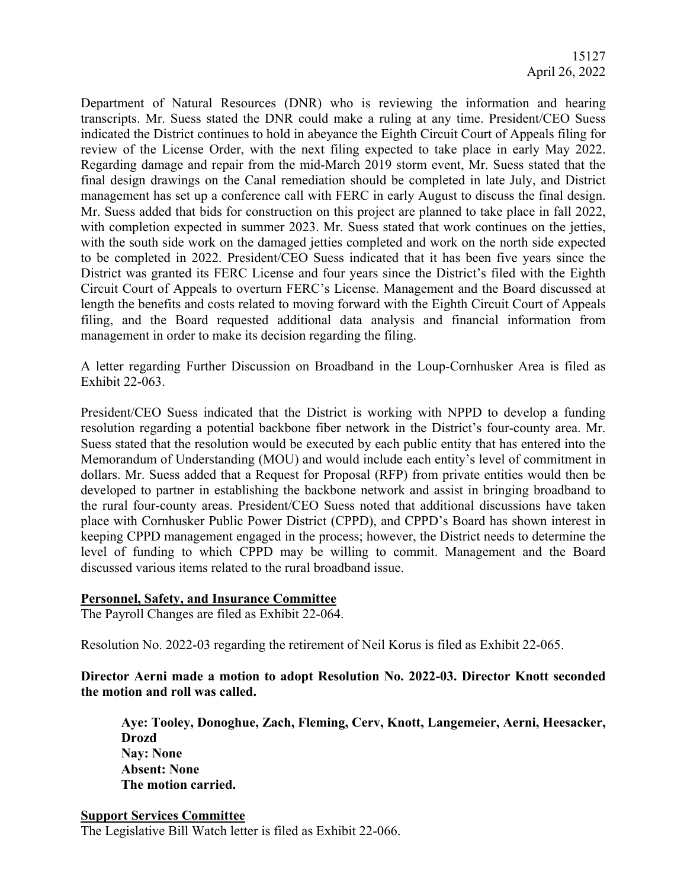Department of Natural Resources (DNR) who is reviewing the information and hearing transcripts. Mr. Suess stated the DNR could make a ruling at any time. President/CEO Suess indicated the District continues to hold in abeyance the Eighth Circuit Court of Appeals filing for review of the License Order, with the next filing expected to take place in early May 2022. Regarding damage and repair from the mid-March 2019 storm event, Mr. Suess stated that the final design drawings on the Canal remediation should be completed in late July, and District management has set up a conference call with FERC in early August to discuss the final design. Mr. Suess added that bids for construction on this project are planned to take place in fall 2022, with completion expected in summer 2023. Mr. Suess stated that work continues on the jetties, with the south side work on the damaged jetties completed and work on the north side expected to be completed in 2022. President/CEO Suess indicated that it has been five years since the District was granted its FERC License and four years since the District's filed with the Eighth Circuit Court of Appeals to overturn FERC's License. Management and the Board discussed at length the benefits and costs related to moving forward with the Eighth Circuit Court of Appeals filing, and the Board requested additional data analysis and financial information from management in order to make its decision regarding the filing.

A letter regarding Further Discussion on Broadband in the Loup-Cornhusker Area is filed as Exhibit 22-063.

President/CEO Suess indicated that the District is working with NPPD to develop a funding resolution regarding a potential backbone fiber network in the District's four-county area. Mr. Suess stated that the resolution would be executed by each public entity that has entered into the Memorandum of Understanding (MOU) and would include each entity's level of commitment in dollars. Mr. Suess added that a Request for Proposal (RFP) from private entities would then be developed to partner in establishing the backbone network and assist in bringing broadband to the rural four-county areas. President/CEO Suess noted that additional discussions have taken place with Cornhusker Public Power District (CPPD), and CPPD's Board has shown interest in keeping CPPD management engaged in the process; however, the District needs to determine the level of funding to which CPPD may be willing to commit. Management and the Board discussed various items related to the rural broadband issue.

### **Personnel, Safety, and Insurance Committee**

The Payroll Changes are filed as Exhibit 22-064.

Resolution No. 2022-03 regarding the retirement of Neil Korus is filed as Exhibit 22-065.

# **Director Aerni made a motion to adopt Resolution No. 2022-03. Director Knott seconded the motion and roll was called.**

**Aye: Tooley, Donoghue, Zach, Fleming, Cerv, Knott, Langemeier, Aerni, Heesacker, Drozd Nay: None Absent: None The motion carried.** 

**Support Services Committee**  The Legislative Bill Watch letter is filed as Exhibit 22-066.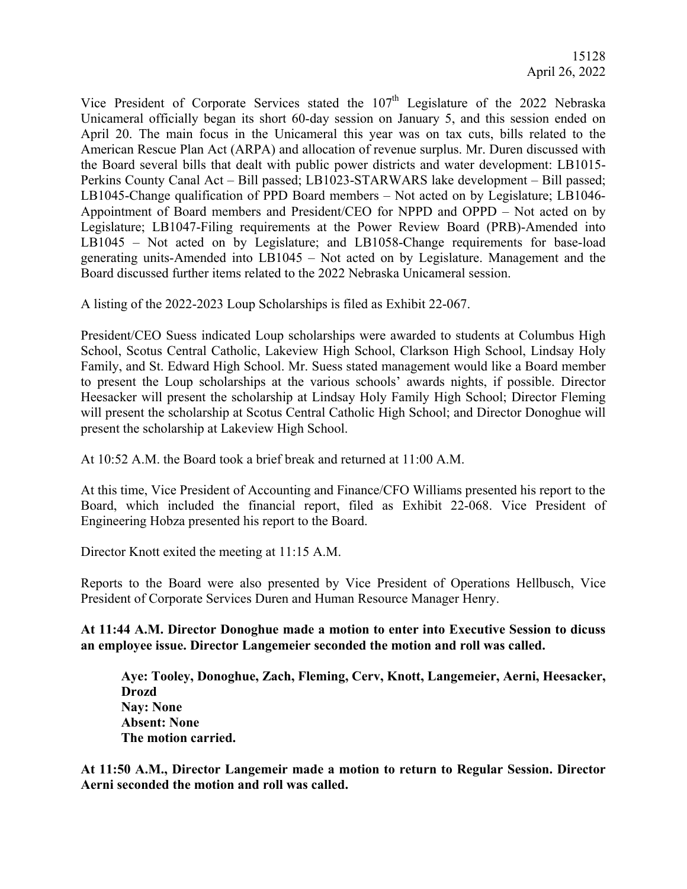Vice President of Corporate Services stated the  $107<sup>th</sup>$  Legislature of the 2022 Nebraska Unicameral officially began its short 60-day session on January 5, and this session ended on April 20. The main focus in the Unicameral this year was on tax cuts, bills related to the American Rescue Plan Act (ARPA) and allocation of revenue surplus. Mr. Duren discussed with the Board several bills that dealt with public power districts and water development: LB1015- Perkins County Canal Act – Bill passed; LB1023-STARWARS lake development – Bill passed; LB1045-Change qualification of PPD Board members – Not acted on by Legislature; LB1046- Appointment of Board members and President/CEO for NPPD and OPPD – Not acted on by Legislature; LB1047-Filing requirements at the Power Review Board (PRB)-Amended into LB1045 – Not acted on by Legislature; and LB1058-Change requirements for base-load generating units-Amended into LB1045 – Not acted on by Legislature. Management and the Board discussed further items related to the 2022 Nebraska Unicameral session.

A listing of the 2022-2023 Loup Scholarships is filed as Exhibit 22-067.

President/CEO Suess indicated Loup scholarships were awarded to students at Columbus High School, Scotus Central Catholic, Lakeview High School, Clarkson High School, Lindsay Holy Family, and St. Edward High School. Mr. Suess stated management would like a Board member to present the Loup scholarships at the various schools' awards nights, if possible. Director Heesacker will present the scholarship at Lindsay Holy Family High School; Director Fleming will present the scholarship at Scotus Central Catholic High School; and Director Donoghue will present the scholarship at Lakeview High School.

At 10:52 A.M. the Board took a brief break and returned at 11:00 A.M.

At this time, Vice President of Accounting and Finance/CFO Williams presented his report to the Board, which included the financial report, filed as Exhibit 22-068. Vice President of Engineering Hobza presented his report to the Board.

Director Knott exited the meeting at 11:15 A.M.

Reports to the Board were also presented by Vice President of Operations Hellbusch, Vice President of Corporate Services Duren and Human Resource Manager Henry.

**At 11:44 A.M. Director Donoghue made a motion to enter into Executive Session to dicuss an employee issue. Director Langemeier seconded the motion and roll was called.** 

**Aye: Tooley, Donoghue, Zach, Fleming, Cerv, Knott, Langemeier, Aerni, Heesacker, Drozd Nay: None Absent: None The motion carried.** 

**At 11:50 A.M., Director Langemeir made a motion to return to Regular Session. Director Aerni seconded the motion and roll was called.**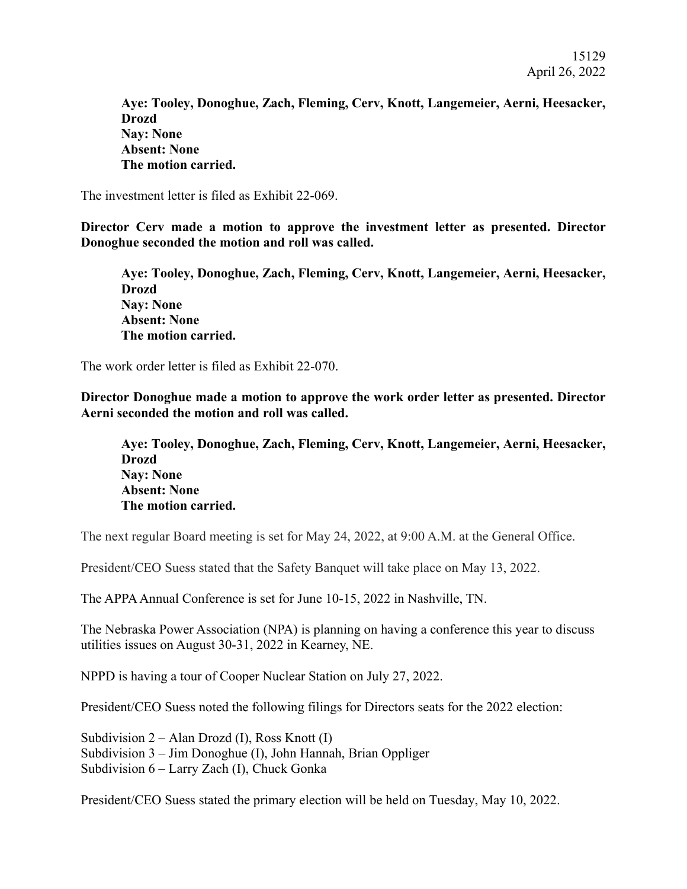15129 April 26, 2022

**Aye: Tooley, Donoghue, Zach, Fleming, Cerv, Knott, Langemeier, Aerni, Heesacker, Drozd Nay: None Absent: None The motion carried.** 

The investment letter is filed as Exhibit 22-069.

**Director Cerv made a motion to approve the investment letter as presented. Director Donoghue seconded the motion and roll was called.** 

**Aye: Tooley, Donoghue, Zach, Fleming, Cerv, Knott, Langemeier, Aerni, Heesacker, Drozd Nay: None Absent: None The motion carried.** 

The work order letter is filed as Exhibit 22-070.

**Director Donoghue made a motion to approve the work order letter as presented. Director Aerni seconded the motion and roll was called.** 

**Aye: Tooley, Donoghue, Zach, Fleming, Cerv, Knott, Langemeier, Aerni, Heesacker, Drozd Nay: None Absent: None The motion carried.** 

The next regular Board meeting is set for May 24, 2022, at 9:00 A.M. at the General Office.

President/CEO Suess stated that the Safety Banquet will take place on May 13, 2022.

The APPA Annual Conference is set for June 10-15, 2022 in Nashville, TN.

The Nebraska Power Association (NPA) is planning on having a conference this year to discuss utilities issues on August 30-31, 2022 in Kearney, NE.

NPPD is having a tour of Cooper Nuclear Station on July 27, 2022.

President/CEO Suess noted the following filings for Directors seats for the 2022 election:

Subdivision 2 – Alan Drozd (I), Ross Knott (I) Subdivision 3 – Jim Donoghue (I), John Hannah, Brian Oppliger Subdivision 6 – Larry Zach (I), Chuck Gonka

President/CEO Suess stated the primary election will be held on Tuesday, May 10, 2022.